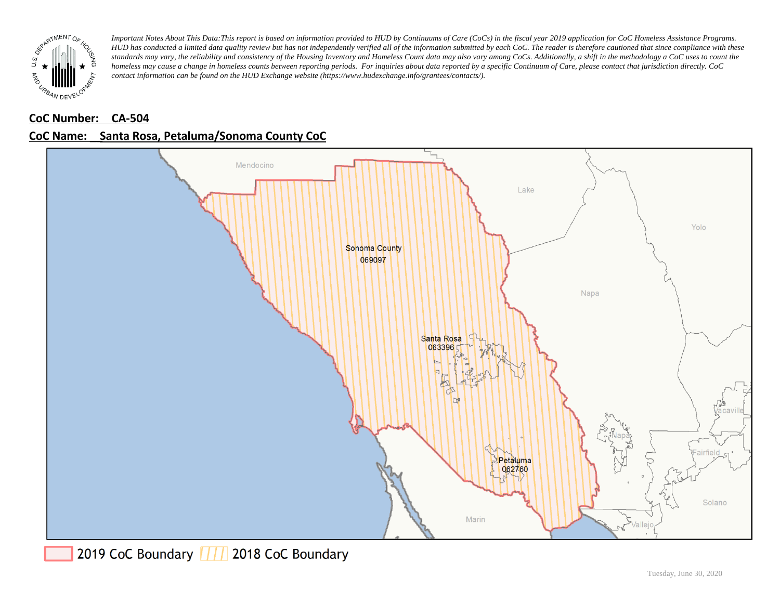

# **CoC Number: CA-504**



# **CoC Name: \_\_ Santa Rosa, Petaluma/Sonoma County CoC**

2019 CoC Boundary | | | 2018 CoC Boundary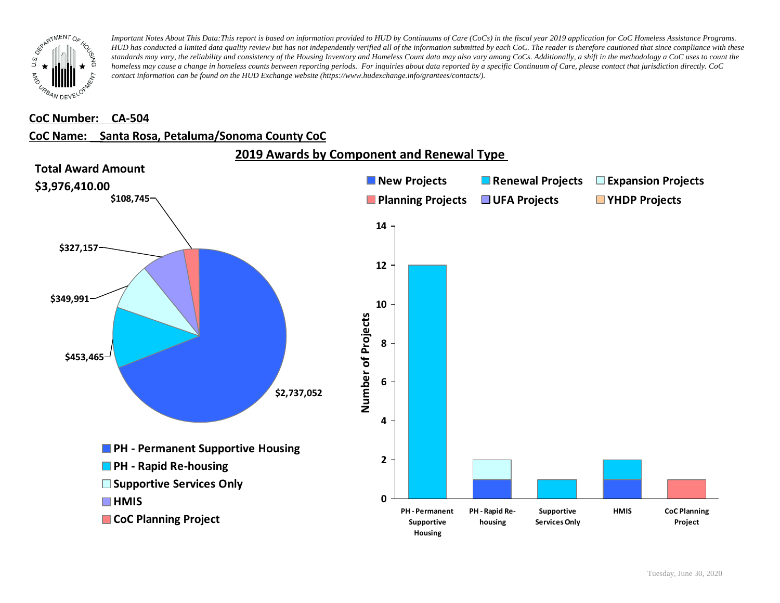

### **CoC Number: CA-504**

# **CoC Name: \_\_ Santa Rosa, Petaluma/Sonoma County CoC**



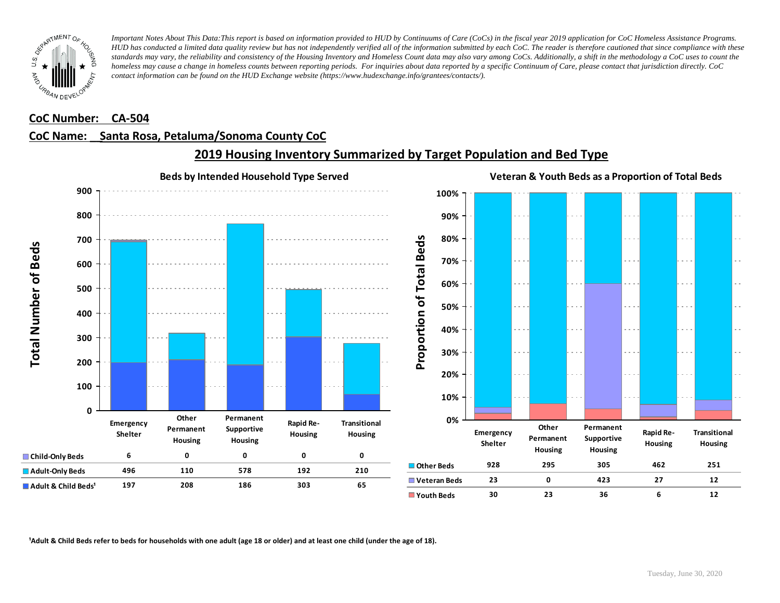

### **CoC Number: CA-504**

## **CoC Name: \_\_ Santa Rosa, Petaluma/Sonoma County CoC**



# **2019 Housing Inventory Summarized by Target Population and Bed Type**

<sup>1</sup> Adult & Child Beds refer to beds for households with one adult (age 18 or older) and at least one child (under the age of 18).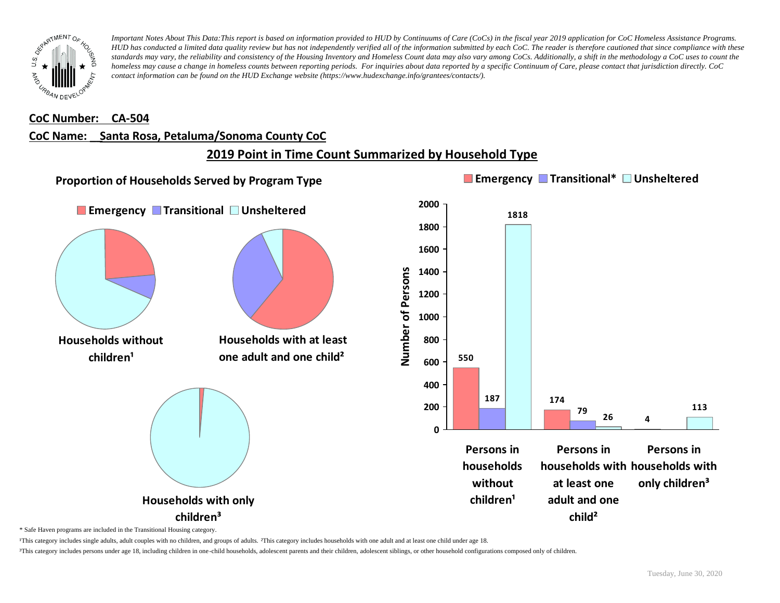

#### **CoC Number: CA-504**

### **CoC Name: \_\_ Santa Rosa, Petaluma/Sonoma County CoC**

# **2019 Point in Time Count Summarized by Household Type**



\* Safe Haven programs are included in the Transitional Housing category.

¹This category includes single adults, adult couples with no children, and groups of adults. ²This category includes households with one adult and at least one child under age 18.

³This category includes persons under age 18, including children in one-child households, adolescent parents and their children, adolescent siblings, or other household configurations composed only of children.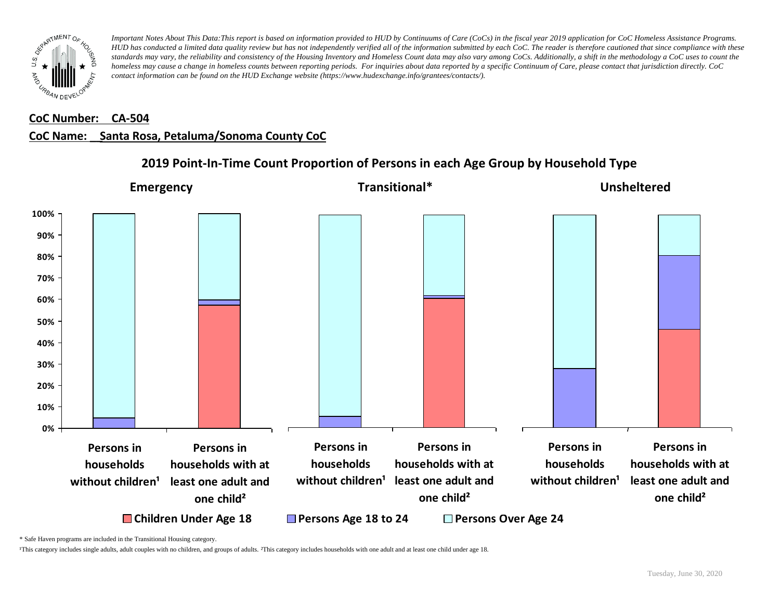

### **CoC Number: CA-504**

### **CoC Name: \_\_ Santa Rosa, Petaluma/Sonoma County CoC**



# **2019 Point-In-Time Count Proportion of Persons in each Age Group by Household Type**

\* Safe Haven programs are included in the Transitional Housing category.

¹This category includes single adults, adult couples with no children, and groups of adults. ²This category includes households with one adult and at least one child under age 18.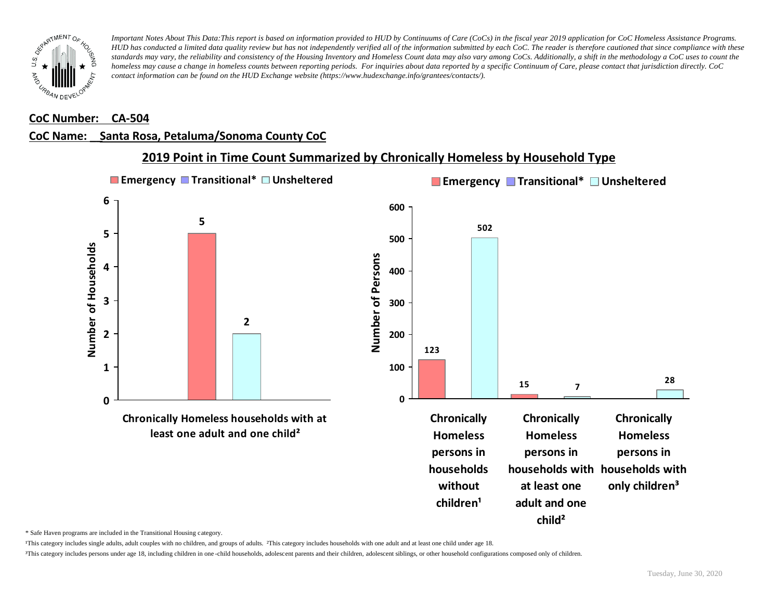

#### **CoC Number: CA-504**

### **CoC Name: \_\_ Santa Rosa, Petaluma/Sonoma County CoC**



**2019 Point in Time Count Summarized by Chronically Homeless by Household Type**

\* Safe Haven programs are included in the Transitional Housing category.

¹This category includes single adults, adult couples with no children, and groups of adults. ²This category includes households with one adult and at least one child under age 18.

³This category includes persons under age 18, including children in one -child households, adolescent parents and their children, adolescent siblings, or other household configurations composed only of children.